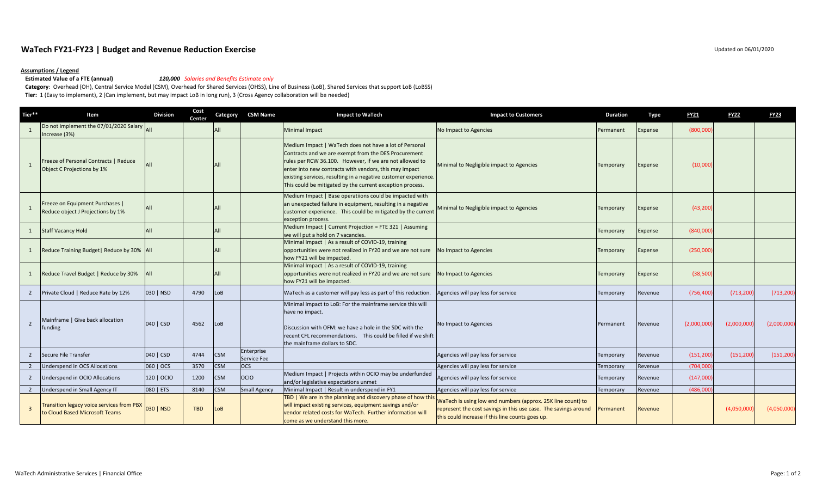## **WaTech FY21‐FY23 | Budget and Revenue Reduction Exercise** Updated on 06/01/2020

# **Assumptions / Legend**

### **Estimated Value of a FTE (annual)**

### **Value of <sup>a</sup> FTE (annual)** *120,000 Salaries and Benefits Estimate only*

**Category**: Overhead (OH), Central Service Model (CSM), Overhead for Shared Services (OHSS), Line of Business (LoB), Shared Services that support LoB (LoBSS) **Tier:** 1 (Easy to implement), 2 (Can implement, but may impact LoB in long run), 3 (Cross Agency collaboration will be needed)

| Tier**         | Item                                                                               | <b>Division</b> | Cost<br>Center | Category   | <b>CSM Name</b>           | <b>Impact to WaTech</b>                                                                                                                                                                                                                                                                                                                                             | <b>Impact to Customers</b>                                                                                                                                                         | <b>Duration</b> | <b>Type</b>    | <b>FY21</b> | <b>FY22</b> | <b>FY23</b> |
|----------------|------------------------------------------------------------------------------------|-----------------|----------------|------------|---------------------------|---------------------------------------------------------------------------------------------------------------------------------------------------------------------------------------------------------------------------------------------------------------------------------------------------------------------------------------------------------------------|------------------------------------------------------------------------------------------------------------------------------------------------------------------------------------|-----------------|----------------|-------------|-------------|-------------|
|                | Do not implement the 07/01/2020 Salary All<br>Increase (3%)                        |                 |                | All        |                           | <b>Minimal Impact</b>                                                                                                                                                                                                                                                                                                                                               | No Impact to Agencies                                                                                                                                                              | Permanent       | Expense        | (800,000)   |             |             |
| 1              | Freeze of Personal Contracts   Reduce<br>Object C Projections by 1%                | All             |                |            |                           | Medium Impact   WaTech does not have a lot of Personal<br>Contracts and we are exempt from the DES Procurement<br>rules per RCW 36.100. However, if we are not allowed to<br>enter into new contracts with vendors, this may impact<br>existing services, resulting in a negative customer experience.<br>This could be mitigated by the current exception process. | Minimal to Negligible impact to Agencies                                                                                                                                           | Temporary       | Expense        | (10,000)    |             |             |
|                | Freeze on Equipment Purchases  <br>Reduce object J Projections by 1%               | All             |                |            |                           | Medium Impact   Base operatiions could be impacted with<br>an unexpected failure in equipment, resulting in a negative<br>customer experience. This could be mitigated by the current<br>exception process.                                                                                                                                                         | Minimal to Negligible impact to Agencies                                                                                                                                           | Temporary       | Expense        | (43, 200)   |             |             |
| $\mathbf{1}$   | <b>Staff Vacancy Hold</b>                                                          | All             |                | AII        |                           | Medium Impact   Current Projection = FTE 321   Assuming<br>we will put a hold on 7 vacancies.                                                                                                                                                                                                                                                                       |                                                                                                                                                                                    | Temporary       | Expense        | (840,000)   |             |             |
| $\mathbf{1}$   | Reduce Training Budget   Reduce by 30%   All                                       |                 |                |            |                           | Minimal Impact   As a result of COVID-19, training<br>opportunities were not realized in FY20 and we are not sure<br>how FY21 will be impacted.                                                                                                                                                                                                                     | No Impact to Agencies                                                                                                                                                              | Temporary       | Expense        | (250,000)   |             |             |
| $\mathbf{1}$   | Reduce Travel Budget   Reduce by 30%                                               | <b>All</b>      |                |            |                           | Minimal Impact   As a result of COVID-19, training<br>opportunities were not realized in FY20 and we are not sure No Impact to Agencies<br>how FY21 will be impacted.                                                                                                                                                                                               |                                                                                                                                                                                    | Temporary       | <b>Expense</b> | (38, 500)   |             |             |
|                | Private Cloud   Reduce Rate by 12%                                                 | 030   NSD       | 4790           | LoB        |                           | WaTech as a customer will pay less as part of this reduction.                                                                                                                                                                                                                                                                                                       | Agencies will pay less for service                                                                                                                                                 | Temporary       | Revenue        | (756, 400)  | (713, 200)  | (713, 200)  |
| $\overline{2}$ | Mainframe   Give back allocation<br>funding                                        | 040   CSD       | 4562           | LoB        |                           | Minimal Impact to LoB: For the mainframe service this will<br>have no impact.<br>Discussion with OFM: we have a hole in the SDC with the<br>recent CFL recommendations. This could be filled if we shift<br>the mainframe dollars to SDC.                                                                                                                           | No Impact to Agencies                                                                                                                                                              | Permanent       | Revenue        | (2,000,000) | (2,000,000) | (2,000,000) |
| $\overline{2}$ | Secure File Transfer                                                               | 040   CSD       | 4744           | <b>CSM</b> | Enterprise<br>Service Fee |                                                                                                                                                                                                                                                                                                                                                                     | Agencies will pay less for service                                                                                                                                                 | Temporary       | Revenue        | (151, 200)  | (151, 200)  | (151, 200)  |
|                | Underspend in OCS Allocations                                                      | 060   OCS       | 3570           | <b>CSM</b> | <b>OCS</b>                |                                                                                                                                                                                                                                                                                                                                                                     | Agencies will pay less for service                                                                                                                                                 | Temporary       | Revenue        | (704,000)   |             |             |
| $\overline{2}$ | Underspend in OCIO Allocations                                                     | 120   OCIO      | 1200           | <b>CSM</b> | OCIO                      | Medium Impact   Projects within OCIO may be underfunded<br>and/or legislative expectations unmet                                                                                                                                                                                                                                                                    | Agencies will pay less for service                                                                                                                                                 | Temporary       | Revenue        | (147,000)   |             |             |
| $\overline{2}$ | Underspend in Small Agency IT                                                      | 080   ETS       | 8140           | <b>CSM</b> | <b>Small Agency</b>       | Minimal Impact   Result in underspend in FY1                                                                                                                                                                                                                                                                                                                        | Agencies will pay less for service                                                                                                                                                 | Temporary       | Revenue        | (486,000    |             |             |
| $\overline{3}$ | <b>Transition legacy voice services from PBX</b><br>to Cloud Based Microsoft Teams | 030   NSD       | <b>TBD</b>     | LoB        |                           | TBD   We are in the planning and discovery phase of how this<br>will impact existing services, equipment savings and/or<br>vendor related costs for WaTech. Further information will<br>come as we understand this more.                                                                                                                                            | WaTech is using low end numbers (approx. 25K line count) to<br>represent the cost savings in this use case. The savings around<br>this could increase if this line counts goes up. | Permanent       | Revenue        |             | (4,050,000) | (4,050,000) |